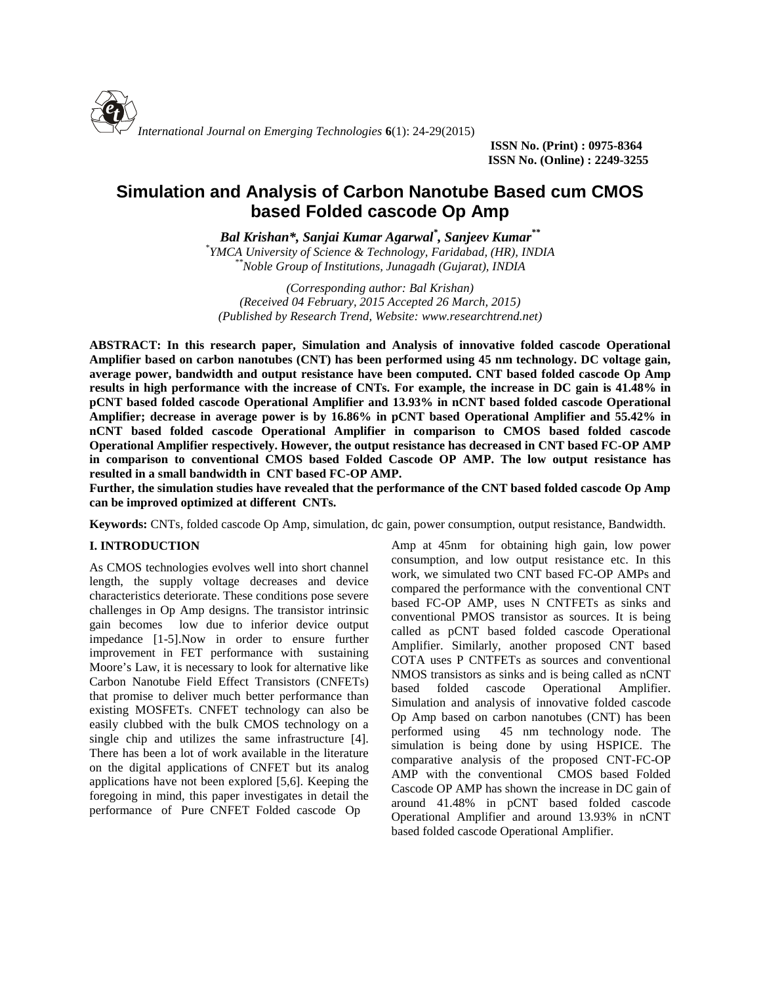

**ISSN No. (Print) : 0975-8364 ISSN No. (Online) : 2249-3255**

# **Simulation and Analysis of Carbon Nanotube Based cum CMOS based Folded cascode Op Amp**

*Bal Krishan\*, Sanjai Kumar Agarwal\* , Sanjeev Kumar\*\* \*YMCA University of Science & Technology, Faridabad, (HR), INDIA \*\*Noble Group of Institutions, Junagadh (Gujarat), INDIA*

*(Corresponding author: Bal Krishan) (Received 04 February, 2015 Accepted 26 March, 2015) (Published by Research Trend, Website: [www.researchtrend.net\)](www.researchtrend.net)*

**ABSTRACT: In this research paper, Simulation and Analysis of innovative folded cascode Operational Amplifier based on carbon nanotubes (CNT) has been performed using 45 nm technology. DC voltage gain, average power, bandwidth and output resistance have been computed. CNT based folded cascode Op Amp results in high performance with the increase of CNTs. For example, the increase in DC gain is 41.48% in pCNT based folded cascode Operational Amplifier and 13.93% in nCNT based folded cascode Operational Amplifier; decrease in average power is by 16.86% in pCNT based Operational Amplifier and 55.42% in nCNT based folded cascode Operational Amplifier in comparison to CMOS based folded cascode Operational Amplifier respectively. However, the output resistance has decreased in CNT based FC-OP AMP in comparison to conventional CMOS based Folded Cascode OP AMP. The low output resistance has resulted in a small bandwidth in CNT based FC-OP AMP.**

**Further, the simulation studies have revealed that the performance of the CNT based folded cascode Op Amp can be improved optimized at different CNTs.**

**Keywords:** CNTs, folded cascode Op Amp, simulation, dc gain, power consumption, output resistance, Bandwidth.

## **I. INTRODUCTION**

As CMOS technologies evolves well into short channel length, the supply voltage decreases and device characteristics deteriorate. These conditions pose severe challenges in Op Amp designs. The transistor intrinsic gain becomes low due to inferior device output impedance [1-5].Now in order to ensure further improvement in FET performance with sustaining Moore's Law, it is necessary to look for alternative like Carbon Nanotube Field Effect Transistors (CNFETs) hased that promise to deliver much better performance than existing MOSFETs. CNFET technology can also be easily clubbed with the bulk CMOS technology on a performed using single chip and utilizes the same infrastructure [4]. There has been a lot of work available in the literature on the digital applications of CNFET but its analog applications have not been explored [5,6]. Keeping the foregoing in mind, this paper investigates in detail the performance of Pure CNFET Folded cascode Op

Amp at 45nm for obtaining high gain, low power consumption, and low output resistance etc. In this work, we simulated two CNT based FC-OP AMPs and compared the performance with the conventional CNT based FC-OP AMP, uses N CNTFETs as sinks and conventional PMOS transistor as sources. It is being called as pCNT based folded cascode Operational Amplifier. Similarly, another proposed CNT based COTA uses P CNTFETs as sources and conventional NMOS transistors as sinks and is being called as nCNT folded cascode Operational Amplifier. Simulation and analysis of innovative folded cascode Op Amp based on carbon nanotubes (CNT) has been 45 nm technology node. The simulation is being done by using HSPICE. The comparative analysis of the proposed CNT-FC-OP AMP with the conventional CMOS based Folded Cascode OP AMP has shown the increase in DC gain of around 41.48% in pCNT based folded cascode Operational Amplifier and around 13.93% in nCNT based folded cascode Operational Amplifier.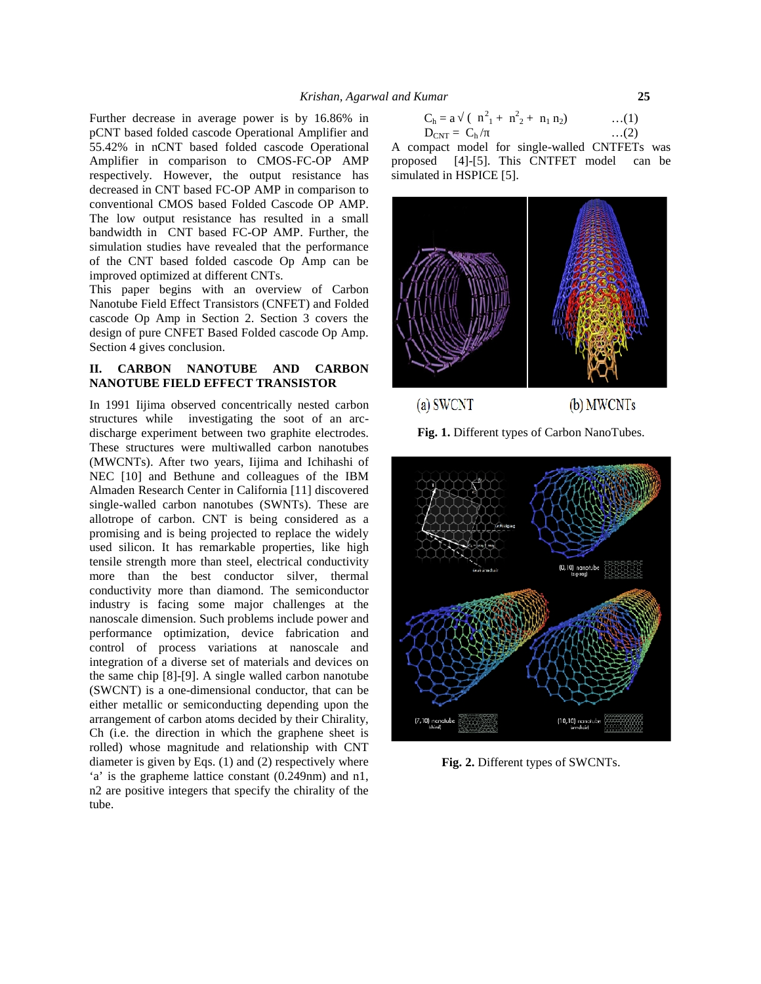Further decrease in average power is by 16.86% in pCNT based folded cascode Operational Amplifier and 55.42% in nCNT based folded cascode Operational Amplifier in comparison to CMOS-FC-OP AMP respectively. However, the output resistance has decreased in CNT based FC-OP AMP in comparison to conventional CMOS based Folded Cascode OP AMP. The low output resistance has resulted in a small bandwidth in CNT based FC-OP AMP. Further, the simulation studies have revealed that the performance of the CNT based folded cascode Op Amp can be improved optimized at different CNTs.

This paper begins with an overview of Carbon Nanotube Field Effect Transistors (CNFET) and Folded cascode Op Amp in Section 2. Section 3 covers the design of pure CNFET Based Folded cascode Op Amp. Section 4 gives conclusion.

## **II. CARBON NANOTUBE AND CARBON NANOTUBE FIELD EFFECT TRANSISTOR**

In 1991 Iijima observed concentrically nested carbon structures while investigating the soot of an arc discharge experiment between two graphite electrodes. These structures were multiwalled carbon nanotubes (MWCNTs). After two years, Iijima and Ichihashi of NEC [10] and Bethune and colleagues of the IBM Almaden Research Center in California [11] discovered single-walled carbon nanotubes (SWNTs). These are allotrope of carbon. CNT is being considered as a promising and is being projected to replace the widely used silicon. It has remarkable properties, like high tensile strength more than steel, electrical conductivity more than the best conductor silver, thermal conductivity more than diamond. The semiconductor industry is facing some major challenges at the nanoscale dimension. Such problems include power and performance optimization, device fabrication and control of process variations at nanoscale and integration of a diverse set of materials and devices on the same chip [8]-[9]. A single walled carbon nanotube (SWCNT) is a one-dimensional conductor, that can be either metallic or semiconducting depending upon the arrangement of carbon atoms decided by their Chirality, Ch (i.e. the direction in which the graphene sheet is rolled) whose magnitude and relationship with CNT diameter is given by Eqs. (1) and (2) respectively where 'a' is the grapheme lattice constant (0.249nm) and n1, n2 are positive integers that specify the chirality of the tube.

$$
C_h = a \quad (\begin{array}{c} n^2_1 + n^2_2 + n_1 n_2 \end{array}) \qquad \qquad \dots (1)
$$
  
\n
$$
D_{CNT} = C_h / \qquad \qquad \dots (2)
$$

A compact model for single-walled CNTFETs was [4]-[5]. This CNTFET model can be simulated in HSPICE [5].



 $(a)$  SWCNT

(b) MWCNTs

**Fig. 1.** Different types of Carbon NanoTubes.



**Fig. 2.** Different types of SWCNTs.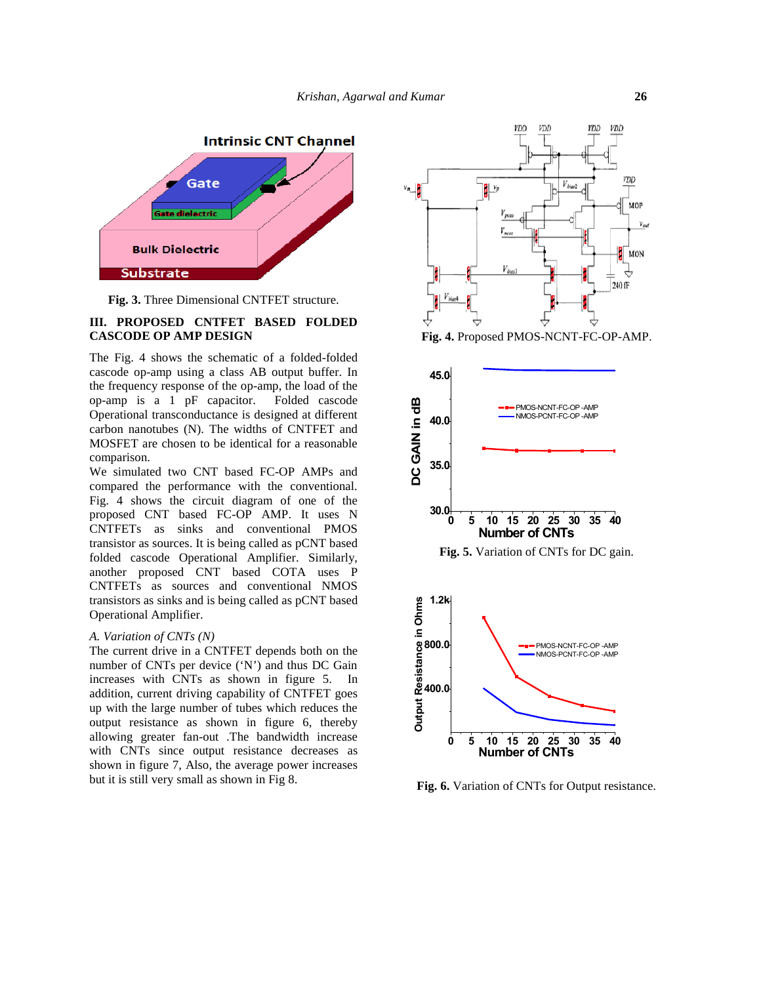

**Fig. 3.** Three Dimensional CNTFET structure.

### **III. PROPOSED CNTFET BASED FOLDED CASCODE OP AMP DESIGN**

The Fig. 4 shows the schematic of a folded-folded cascode op-amp using a class AB output buffer. In the frequency response of the op-amp, the load of the op-amp is a 1 pF capacitor. Folded cascode Operational transconductance is designed at different carbon nanotubes (N). The widths of CNTFET and MOSFET are chosen to be identical for a reasonable comparison.

We simulated two CNT based FC-OP AMPs and compared the performance with the conventional. Fig. 4 shows the circuit diagram of one of the proposed CNT based FC-OP AMP. It uses N CNTFETs as sinks and conventional PMOS transistor as sources. It is being called as pCNT based folded cascode Operational Amplifier. Similarly, another proposed CNT based COTA uses P CNTFETs as sources and conventional NMOS transistors as sinks and is being called as pCNT based Operational Amplifier.

#### *A. Variation of CNTs (N)*

The current drive in a CNTFET depends both on the number of CNTs per device ('N') and thus DC Gain increases with CNTs as shown in figure 5. In addition, current driving capability of CNTFET goes up with the large number of tubes which reduces the output resistance as shown in figure 6, thereby allowing greater fan-out .The bandwidth increase with CNTs since output resistance decreases as shown in figure 7, Also, the average power increases but it is still very small as shown in Fig 8.



**Fig. 4.** Proposed PMOS-NCNT-FC-OP-AMP.



**Fig. 5.** Variation of CNTs for DC gain.



**Fig. 6.** Variation of CNTs for Output resistance.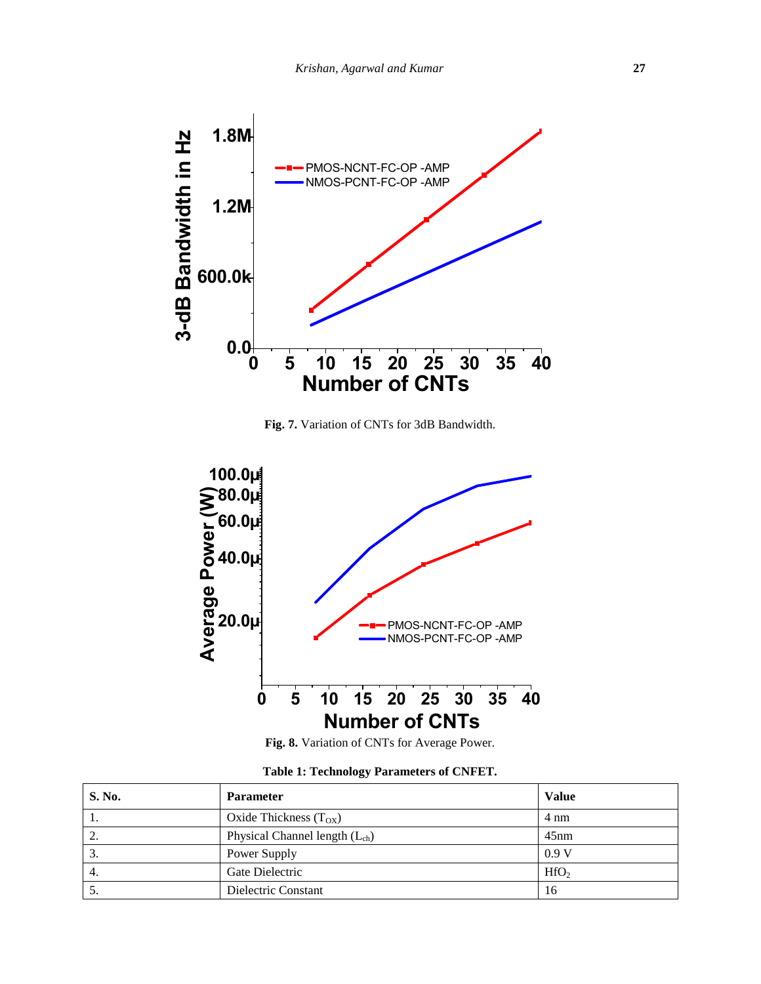

**Fig. 7.** Variation of CNTs for 3dB Bandwidth.



**Fig. 8.** Variation of CNTs for Average Power.

| S. No. | <b>Parameter</b>                   | Value            |
|--------|------------------------------------|------------------|
|        | Oxide Thickness $(T_{OX})$         | 4 nm             |
| 2.     | Physical Channel length $(L_{ch})$ | 45nm             |
| 3.     | Power Supply                       | 0.9V             |
| 4.     | Gate Dielectric                    | HfO <sub>2</sub> |
| C.     | Dielectric Constant                | 16               |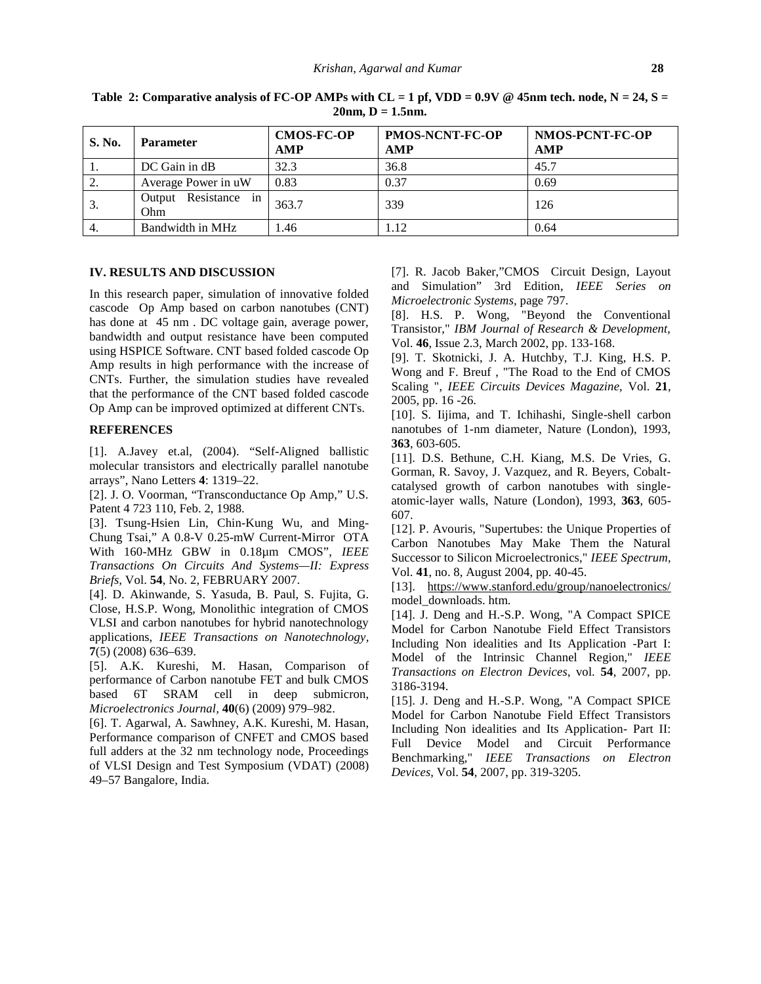| S. No. | <b>Parameter</b>               | <b>CMOS-FC-OP</b><br><b>AMP</b> | <b>PMOS-NCNT-FC-OP</b><br><b>AMP</b> | NMOS-PCNT-FC-OP<br>AMP |
|--------|--------------------------------|---------------------------------|--------------------------------------|------------------------|
| 1.     | DC Gain in dB                  | 32.3                            | 36.8                                 | 45.7                   |
| 2.     | Average Power in uW            | 0.83                            | 0.37                                 | 0.69                   |
| 3.     | Resistance in<br>Output<br>Ohm | 363.7                           | 339                                  | 126                    |
| 4.     | Bandwidth in MHz               | 1.46                            | 1.12                                 | 0.64                   |

**Table** 2: Comparative analysis of FC-OP AMPs with  $CL = 1$  pf, VDD = 0.9V @ 45nm tech. node,  $N = 24$ ,  $S =$  $20nm$ ,  $D = 1.5nm$ .

### **IV. RESULTS AND DISCUSSION**

In this research paper, simulation of innovative folded cascode Op Amp based on carbon nanotubes (CNT) has done at 45 nm . DC voltage gain, average power, bandwidth and output resistance have been computed using HSPICE Software. CNT based folded cascode Op Amp results in high performance with the increase of CNTs. Further, the simulation studies have revealed that the performance of the CNT based folded cascode Op Amp can be improved optimized at different CNTs.

### **REFERENCES**

[1]. A.Javey et.al, (2004). "Self-Aligned ballistic molecular transistors and electrically parallel nanotube arrays", Nano Letters **4**: 1319–22.

[2]. J. O. Voorman, "Transconductance Op Amp," U.S. Patent 4 723 110, Feb. 2, 1988.

[3]. Tsung-Hsien Lin, Chin-Kung Wu, and Ming- Chung Tsai," A 0.8-V 0.25-mW Current-Mirror OTA With 160-MHz GBW in 0.18µm CMOS", *IEEE Transactions On Circuits And Systems—II: Express Briefs,* Vol. **54**, No. 2, FEBRUARY 2007.

[4]. D. Akinwande, S. Yasuda, B. Paul, S. Fujita, G. Close, H.S.P. Wong, Monolithic integration of CMOS VLSI and carbon nanotubes for hybrid nanotechnology applications, *IEEE Transactions on Nanotechnology,* **7**(5) (2008) 636–639.

[5]. A.K. Kureshi, M. Hasan, Comparison of performance of Carbon nanotube FET and bulk CMOS based 6T SRAM cell in deep submicron, *Microelectronics Journal,* **40**(6) (2009) 979–982.

[6]. T. Agarwal, A. Sawhney, A.K. Kureshi, M. Hasan, Performance comparison of CNFET and CMOS based full adders at the 32 nm technology node, Proceedings of VLSI Design and Test Symposium (VDAT) (2008) 49–57 Bangalore, India.

[7]. R. Jacob Baker,"CMOS Circuit Design, Layout and Simulation" 3rd Edition, *IEEE Series on Microelectronic Systems,* page 797.

[8]. H.S. P. Wong, "Beyond the Conventional Transistor," *IBM Journal of Research & Development,* Vol. **46**, Issue 2.3, March 2002, pp. 133-168.

[9]. T. Skotnicki, J. A. Hutchby, T.J. King, H.S. P. Wong and F. Breuf , "The Road to the End of CMOS Scaling ", *IEEE Circuits Devices Magazine,* Vol. **21**, 2005, pp. 16 -26.

[10]. S. Iijima, and T. Ichihashi, Single-shell carbon nanotubes of 1-nm diameter, Nature (London), 1993, **363**, 603-605.

[11]. D.S. Bethune, C.H. Kiang, M.S. De Vries, G. Gorman, R. Savoy, J. Vazquez, and R. Beyers, Cobalt catalysed growth of carbon nanotubes with single atomic-layer walls, Nature (London), 1993, **363**, 605- 607.

[12]. P. Avouris, "Supertubes: the Unique Properties of Carbon Nanotubes May Make Them the Natural Successor to Silicon Microelectronics," *IEEE Spectrum,* Vol. **41**, no. 8, August 2004, pp. 40-45.

[13]. https://<www.stanford.edu/group/nanoelectronics/> model\_downloads. htm.

[14]. J. Deng and H.-S.P. Wong, "A Compact SPICE Model for Carbon Nanotube Field Effect Transistors Including Non idealities and Its Application -Part I: Model of the Intrinsic Channel Region," *IEEE Transactions on Electron Devices*, vol. **54**, 2007, pp. 3186-3194.

[15]. J. Deng and H.-S.P. Wong, "A Compact SPICE Model for Carbon Nanotube Field Effect Transistors Including Non idealities and Its Application- Part II: Full Device Model and Circuit Performance Benchmarking," *IEEE Transactions on Electron Devices*, Vol. **54**, 2007, pp. 319-3205.